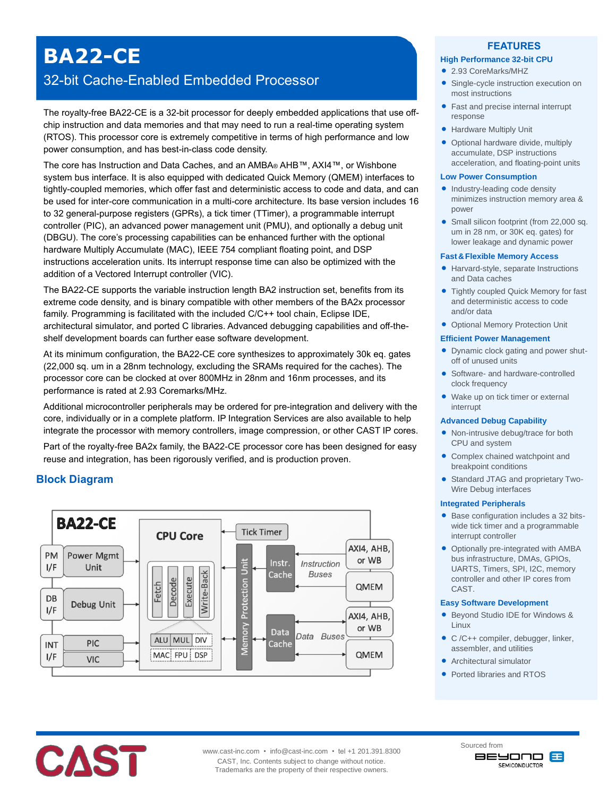# **BA22-CE**

## 32-bit Cache-Enabled Embedded Processor

The royalty-free BA22-CE is a 32-bit processor for deeply embedded applications that use offchip instruction and data memories and that may need to run a real-time operating system (RTOS). This processor core is extremely competitive in terms of high performance and low power consumption, and has best-in-class code density.

The core has Instruction and Data Caches, and an AMBA® AHB™, AXI4™, or Wishbone system bus interface. It is also equipped with dedicated Quick Memory (QMEM) interfaces to tightly-coupled memories, which offer fast and deterministic access to code and data, and can be used for inter-core communication in a multi-core architecture. Its base version includes 16 to 32 general-purpose registers (GPRs), a tick timer (TTimer), a programmable interrupt controller (PIC), an advanced power management unit (PMU), and optionally a debug unit (DBGU). The core's processing capabilities can be enhanced further with the optional hardware Multiply Accumulate (MAC), IEEE 754 compliant floating point, and DSP instructions acceleration units. Its interrupt response time can also be optimized with the addition of a Vectored Interrupt controller (VIC).

The BA22-CE supports the variable instruction length BA2 instruction set, benefits from its extreme code density, and is binary compatible with other members of the BA2x processor family. Programming is facilitated with the included C/C++ tool chain, Eclipse IDE, architectural simulator, and ported C libraries. Advanced debugging capabilities and off-theshelf development boards can further ease software development.

At its minimum configuration, the BA22-CE core synthesizes to approximately 30k eq. gates (22,000 sq. um in a 28nm technology, excluding the SRAMs required for the caches). The processor core can be clocked at over 800MHz in 28nm and 16nm processes, and its performance is rated at 2.93 Coremarks/MHz.

Additional microcontroller peripherals may be ordered for pre-integration and delivery with the core, individually or in a complete platform. IP Integration Services are also available to help integrate the processor with memory controllers, image compression, or other CAST IP cores.

Part of the royalty-free BA2x family, the BA22-CE processor core has been designed for easy reuse and integration, has been rigorously verified, and is production proven.

## **Block Diagram**



#### **FEATURES**

#### **High Performance 32-bit CPU**

- 2.93 CoreMarks/MHZ
- Single-cycle instruction execution on most instructions
- Fast and precise internal interrupt response
- **Hardware Multiply Unit**
- Optional hardware divide, multiply accumulate, DSP instructions acceleration, and floating-point units

#### **Low Power Consumption**

- Industry-leading code density minimizes instruction memory area & power
- Small silicon footprint (from 22,000 sq. um in 28 nm, or 30K eq. gates) for lower leakage and dynamic power

#### **Fast&Flexible Memory Access**

- Harvard-style, separate Instructions and Data caches
- Tightly coupled Quick Memory for fast and deterministic access to code and/or data
- Optional Memory Protection Unit

#### **Efficient Power Management**

- Dynamic clock gating and power shutoff of unused units
- Software- and hardware-controlled clock frequency
- Wake up on tick timer or external interrupt

#### **Advanced Debug Capability**

- Non-intrusive debug/trace for both CPU and system
- Complex chained watchpoint and breakpoint conditions
- Standard JTAG and proprietary Two-Wire Debug interfaces

#### **Integrated Peripherals**

- Base configuration includes a 32 bitswide tick timer and a programmable interrupt controller
- Optionally pre-integrated with AMBA bus infrastructure, DMAs, GPIOs, UARTS, Timers, SPI, I2C, memory controller and other IP cores from CAST.

#### **Easy Software Development**

- Beyond Studio IDE for Windows & Linux
- C /C++ compiler, debugger, linker, assembler, and utilities
- Architectural simulator

Sourced from

• Ported libraries and RTOS